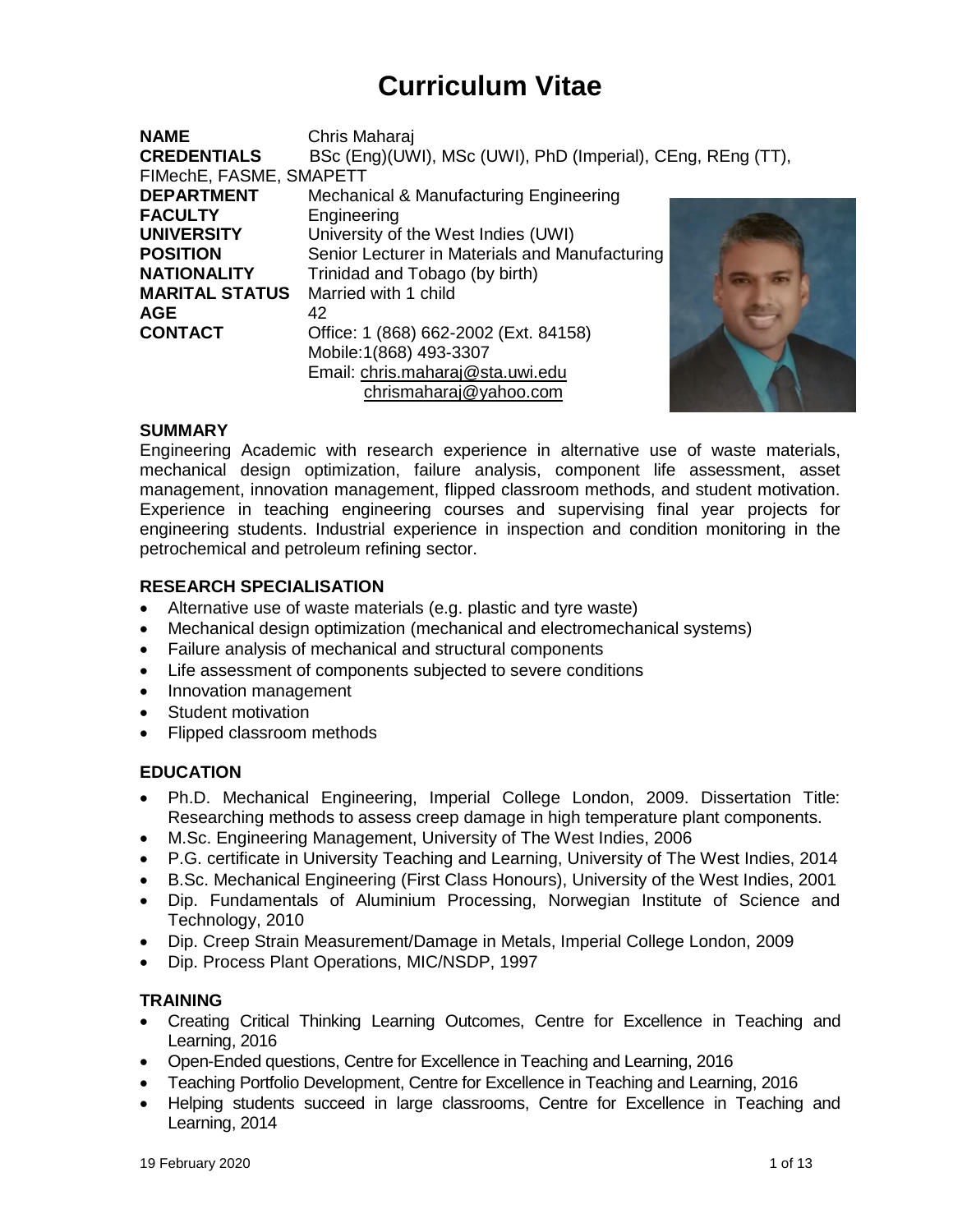# **Curriculum Vitae**

| <b>NAME</b>             | Chris Maharaj                                               |  |  |
|-------------------------|-------------------------------------------------------------|--|--|
| <b>CREDENTIALS</b>      | BSc (Eng)(UWI), MSc (UWI), PhD (Imperial), CEng, REng (TT), |  |  |
| FIMechE, FASME, SMAPETT |                                                             |  |  |
| <b>DEPARTMENT</b>       | Mechanical & Manufacturing Engineering                      |  |  |
| <b>FACULTY</b>          | Engineering                                                 |  |  |
| <b>UNIVERSITY</b>       | University of the West Indies (UWI)                         |  |  |
| <b>POSITION</b>         | Senior Lecturer in Materials and Manufacturing              |  |  |
| <b>NATIONALITY</b>      | Trinidad and Tobago (by birth)                              |  |  |
| <b>MARITAL STATUS</b>   | Married with 1 child                                        |  |  |
| <b>AGE</b>              | 42                                                          |  |  |
| <b>CONTACT</b>          | Office: 1 (868) 662-2002 (Ext. 84158)                       |  |  |
|                         | Mobile: 1(868) 493-3307                                     |  |  |
|                         | Email: chris.maharaj@sta.uwi.edu                            |  |  |
|                         | chrismaharaj@yahoo.com                                      |  |  |

#### **SUMMARY**

Engineering Academic with research experience in alternative use of waste materials, mechanical design optimization, failure analysis, component life assessment, asset management, innovation management, flipped classroom methods, and student motivation. Experience in teaching engineering courses and supervising final year projects for engineering students. Industrial experience in inspection and condition monitoring in the petrochemical and petroleum refining sector.

#### **RESEARCH SPECIALISATION**

- Alternative use of waste materials (e.g. plastic and tyre waste)
- Mechanical design optimization (mechanical and electromechanical systems)
- Failure analysis of mechanical and structural components
- Life assessment of components subjected to severe conditions
- Innovation management
- Student motivation
- Flipped classroom methods

#### **EDUCATION**

- Ph.D. Mechanical Engineering, Imperial College London, 2009. Dissertation Title: Researching methods to assess creep damage in high temperature plant components.
- M.Sc. Engineering Management, University of The West Indies, 2006
- P.G. certificate in University Teaching and Learning, University of The West Indies, 2014
- B.Sc. Mechanical Engineering (First Class Honours), University of the West Indies, 2001
- Dip. Fundamentals of Aluminium Processing, Norwegian Institute of Science and Technology, 2010
- Dip. Creep Strain Measurement/Damage in Metals, Imperial College London, 2009
- Dip. Process Plant Operations, MIC/NSDP, 1997

#### **TRAINING**

- Creating Critical Thinking Learning Outcomes, Centre for Excellence in Teaching and Learning, 2016
- Open-Ended questions, Centre for Excellence in Teaching and Learning, 2016
- Teaching Portfolio Development, Centre for Excellence in Teaching and Learning, 2016
- Helping students succeed in large classrooms, Centre for Excellence in Teaching and Learning, 2014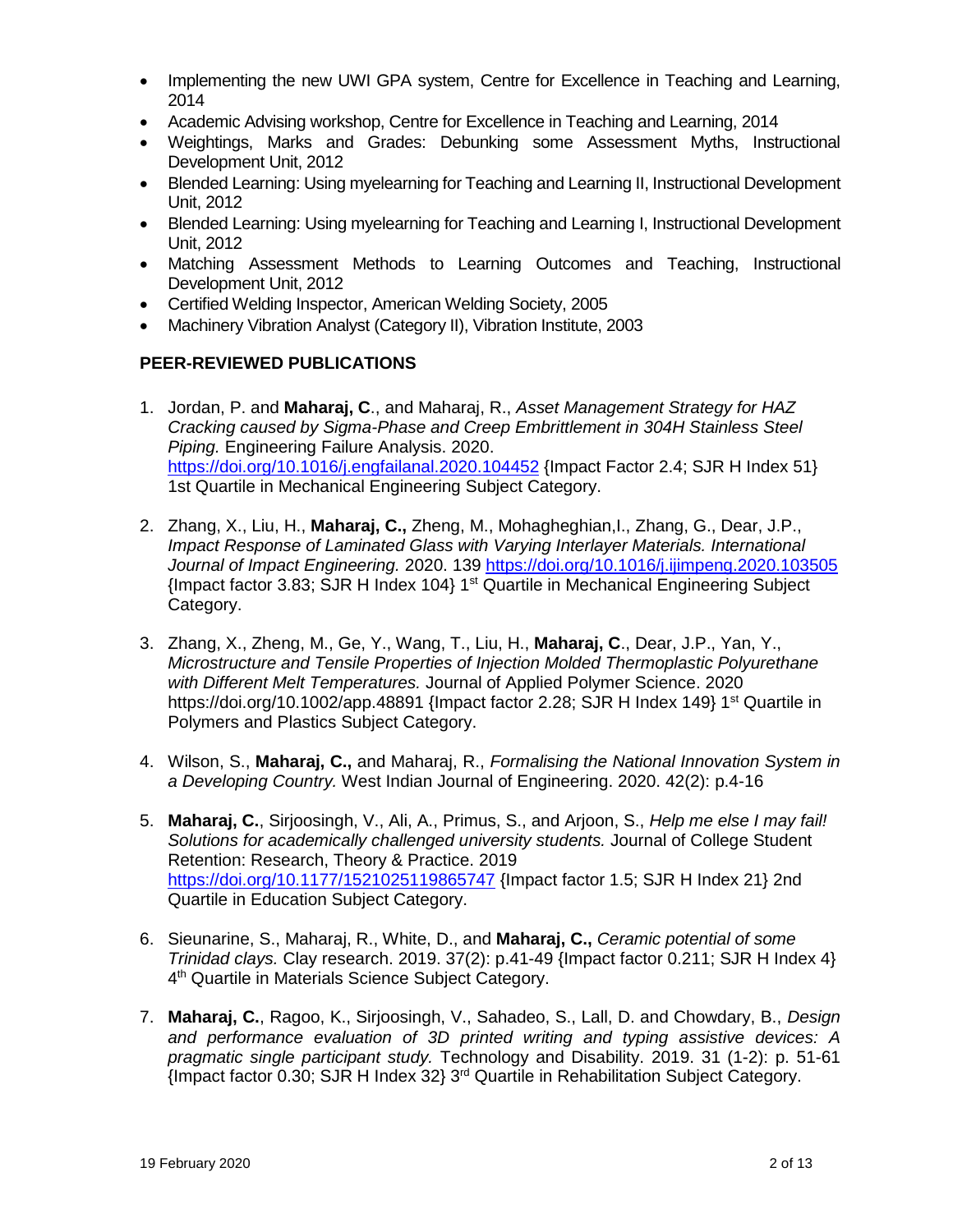- Implementing the new UWI GPA system, Centre for Excellence in Teaching and Learning, 2014
- Academic Advising workshop, Centre for Excellence in Teaching and Learning, 2014
- Weightings, Marks and Grades: Debunking some Assessment Myths, Instructional Development Unit, 2012
- Blended Learning: Using myelearning for Teaching and Learning II, Instructional Development Unit, 2012
- Blended Learning: Using myelearning for Teaching and Learning I, Instructional Development Unit, 2012
- Matching Assessment Methods to Learning Outcomes and Teaching, Instructional Development Unit, 2012
- Certified Welding Inspector, American Welding Society, 2005
- Machinery Vibration Analyst (Category II), Vibration Institute, 2003

#### **PEER-REVIEWED PUBLICATIONS**

- 1. Jordan, P. and **Maharaj, C**., and Maharaj, R., *Asset Management Strategy for HAZ Cracking caused by Sigma-Phase and Creep Embrittlement in 304H Stainless Steel Piping.* Engineering Failure Analysis. 2020. <https://doi.org/10.1016/j.engfailanal.2020.104452> {Impact Factor 2.4; SJR H Index 51} 1st Quartile in Mechanical Engineering Subject Category.
- 2. Zhang, X., Liu, H., **Maharaj, C.,** Zheng, M., Mohagheghian,I., Zhang, G., Dear, J.P., *Impact Response of Laminated Glass with Varying Interlayer Materials. International Journal of Impact Engineering.* 2020. 139 <https://doi.org/10.1016/j.ijimpeng.2020.103505>  ${Impact factor}$  3.83; SJR H Index 104} 1<sup>st</sup> Quartile in Mechanical Engineering Subject Category.
- 3. Zhang, X., Zheng, M., Ge, Y., Wang, T., Liu, H., **Maharaj, C**., Dear, J.P., Yan, Y., *Microstructure and Tensile Properties of Injection Molded Thermoplastic Polyurethane with Different Melt Temperatures.* Journal of Applied Polymer Science. 2020 https://doi.org/10.1002/app.48891 {Impact factor 2.28; SJR H Index 149} 1<sup>st</sup> Quartile in Polymers and Plastics Subject Category.
- 4. Wilson, S., **Maharaj, C.,** and Maharaj, R., *Formalising the National Innovation System in a Developing Country.* West Indian Journal of Engineering. 2020. 42(2): p.4-16
- 5. **Maharaj, C.**, Sirjoosingh, V., Ali, A., Primus, S., and Arjoon, S., *Help me else I may fail! Solutions for academically challenged university students.* Journal of College Student Retention: Research, Theory & Practice. 2019 <https://doi.org/10.1177/1521025119865747> {Impact factor 1.5; SJR H Index 21} 2nd Quartile in Education Subject Category.
- 6. Sieunarine, S., Maharaj, R., White, D., and **Maharaj, C.,** *Ceramic potential of some Trinidad clays.* Clay research. 2019. 37(2): p.41-49 {Impact factor 0.211; SJR H Index 4} 4<sup>th</sup> Quartile in Materials Science Subject Category.
- 7. **Maharaj, C.**, Ragoo, K., Sirjoosingh, V., Sahadeo, S., Lall, D. and Chowdary, B., *Design and performance evaluation of 3D printed writing and typing assistive devices: A pragmatic single participant study.* Technology and Disability. 2019. 31 (1-2): p. 51-61 {Impact factor 0.30; SJR H Index 32} 3 rd Quartile in Rehabilitation Subject Category.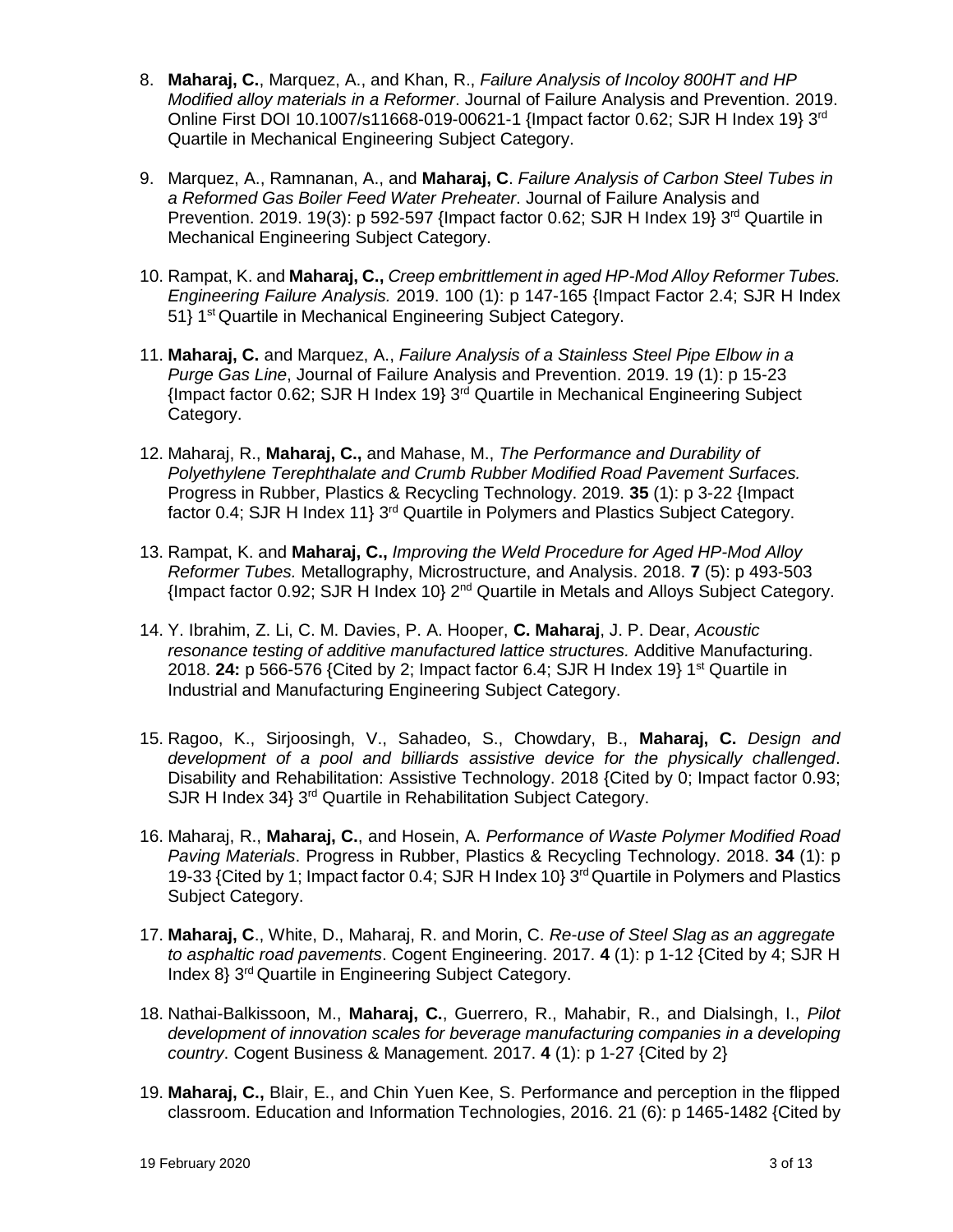- 8. **Maharaj, C.**, Marquez, A., and Khan, R., *Failure Analysis of Incoloy 800HT and HP Modified alloy materials in a Reformer*. Journal of Failure Analysis and Prevention. 2019. Online First DOI 10.1007/s11668-019-00621-1 {Impact factor 0.62; SJR H Index 19} 3rd Quartile in Mechanical Engineering Subject Category.
- 9. Marquez, A., Ramnanan, A., and **Maharaj, C**. *Failure Analysis of Carbon Steel Tubes in a Reformed Gas Boiler Feed Water Preheater*. Journal of Failure Analysis and Prevention. 2019. 19(3): p 592-597 {Impact factor 0.62; SJR H Index 19} 3rd Quartile in Mechanical Engineering Subject Category.
- 10. Rampat, K. and **Maharaj, C.,** *Creep embrittlement in aged HP-Mod Alloy Reformer Tubes. Engineering Failure Analysis.* 2019. 100 (1): p 147-165 {Impact Factor 2.4; SJR H Index 51} 1st Quartile in Mechanical Engineering Subject Category.
- 11. **Maharaj, C.** and Marquez, A., *Failure Analysis of a Stainless Steel Pipe Elbow in a Purge Gas Line*, Journal of Failure Analysis and Prevention. 2019. 19 (1): p 15-23 {Impact factor 0.62; SJR H Index 19} 3rd Quartile in Mechanical Engineering Subject Category.
- 12. Maharaj, R., **Maharaj, C.,** and Mahase, M., *The Performance and Durability of Polyethylene Terephthalate and Crumb Rubber Modified Road Pavement Surfaces.* Progress in Rubber, Plastics & Recycling Technology. 2019. **35** (1): p 3-22 {Impact factor 0.4; SJR H Index 11} 3rd Quartile in Polymers and Plastics Subject Category.
- 13. Rampat, K. and **Maharaj, C.,** *Improving the Weld Procedure for Aged HP-Mod Alloy Reformer Tubes.* Metallography, Microstructure, and Analysis. 2018. **7** (5): p 493-503 {Impact factor 0.92; SJR H Index 10} 2nd Quartile in Metals and Alloys Subject Category.
- 14. Y. Ibrahim, Z. Li, C. M. Davies, P. A. Hooper, **C. Maharaj**, J. P. Dear, *Acoustic resonance testing of additive manufactured lattice structures.* Additive Manufacturing. 2018. **24:** p 566-576 {Cited by 2; Impact factor 6.4; SJR H Index 19} 1st Quartile in Industrial and Manufacturing Engineering Subject Category.
- 15. Ragoo, K., Sirjoosingh, V., Sahadeo, S., Chowdary, B., **Maharaj, C.** *Design and development of a pool and billiards assistive device for the physically challenged*. Disability and Rehabilitation: Assistive Technology. 2018 {Cited by 0; Impact factor 0.93; SJR H Index 34} 3<sup>rd</sup> Quartile in Rehabilitation Subject Category.
- 16. Maharaj, R., **Maharaj, C.**, and Hosein, A. *Performance of Waste Polymer Modified Road Paving Materials*. Progress in Rubber, Plastics & Recycling Technology. 2018. **34** (1): p 19-33 {Cited by 1; Impact factor 0.4; SJR H Index 10}  $3<sup>rd</sup>$  Quartile in Polymers and Plastics Subject Category.
- 17. **Maharaj, C**., White, D., Maharaj, R. and Morin, C. *Re-use of Steel Slag as an aggregate to asphaltic road pavements*. Cogent Engineering. 2017. **4** (1): p 1-12 {Cited by 4; SJR H Index 8} 3rd Quartile in Engineering Subject Category.
- 18. Nathai-Balkissoon, M., **Maharaj, C.**, Guerrero, R., Mahabir, R., and Dialsingh, I., *Pilot development of innovation scales for beverage manufacturing companies in a developing country*. Cogent Business & Management. 2017. **4** (1): p 1-27 {Cited by 2}
- 19. **Maharaj, C.,** Blair, E., and Chin Yuen Kee, S. Performance and perception in the flipped classroom. Education and Information Technologies, 2016. 21 (6): p 1465-1482 {Cited by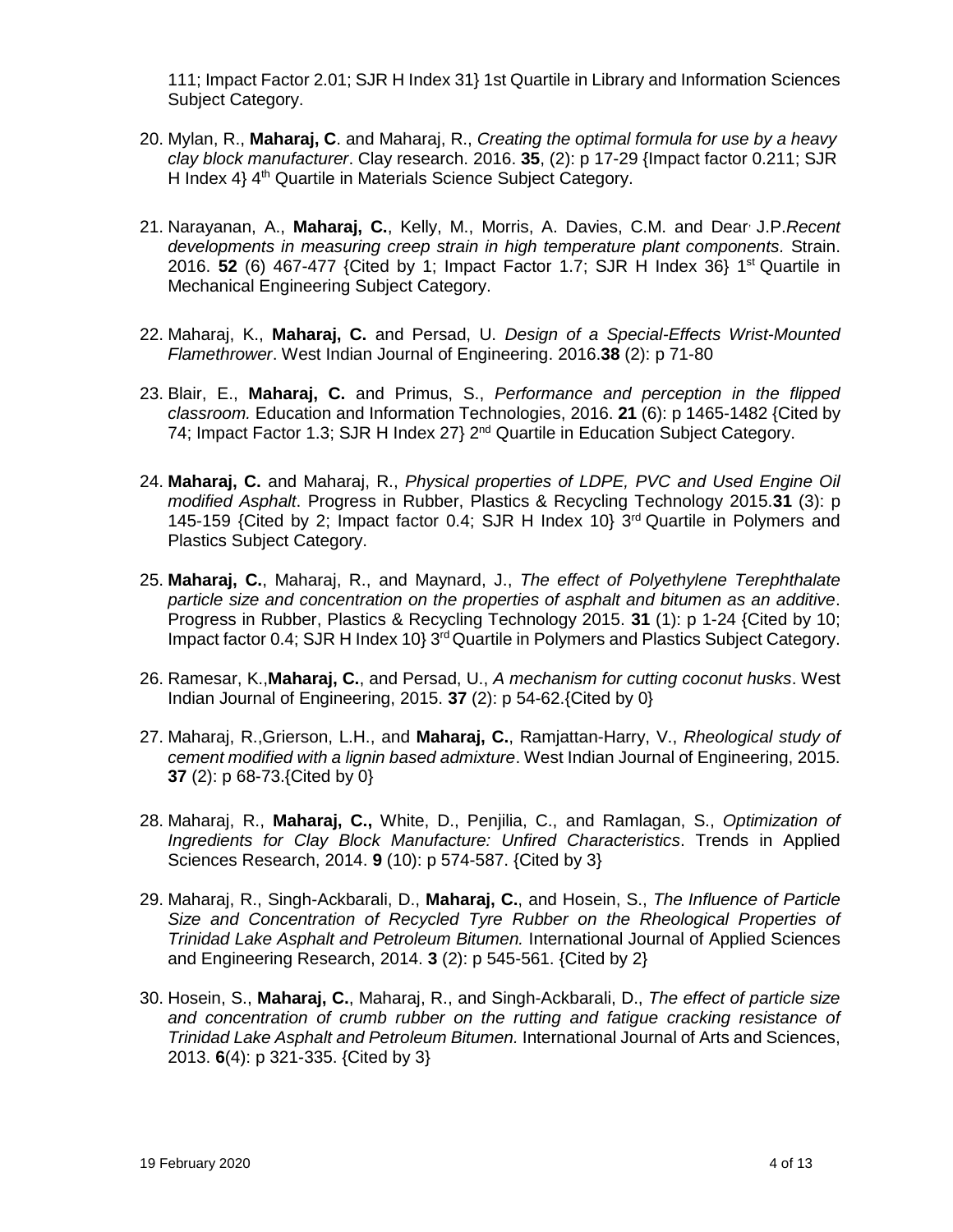111; Impact Factor 2.01; SJR H Index 31} 1st Quartile in Library and Information Sciences Subject Category.

- 20. Mylan, R., **Maharaj, C**. and Maharaj, R., *Creating the optimal formula for use by a heavy clay block manufacturer*. Clay research. 2016. **35**, (2): p 17-29 {Impact factor 0.211; SJR H Index 4} 4<sup>th</sup> Quartile in Materials Science Subject Category.
- 21. Narayanan, A., **Maharaj, C.**, Kelly, M., Morris, A. Davies, C.M. and Dear, J.P.*Recent developments in measuring creep strain in high temperature plant components.* Strain. 2016. **52** (6) 467-477 {Cited by 1; Impact Factor 1.7; SJR H Index 36} 1st Quartile in Mechanical Engineering Subject Category.
- 22. Maharaj, K., **Maharaj, C.** and Persad, U. *Design of a Special-Effects Wrist-Mounted Flamethrower*. West Indian Journal of Engineering. 2016.**38** (2): p 71-80
- 23. Blair, E., **Maharaj, C.** and Primus, S., *Performance and perception in the flipped classroom.* Education and Information Technologies, 2016. **21** (6): p 1465-1482 {Cited by 74; Impact Factor 1.3; SJR H Index 27} 2nd Quartile in Education Subject Category.
- 24. **Maharaj, C.** and Maharaj, R., *Physical properties of LDPE, PVC and Used Engine Oil modified Asphalt*. Progress in Rubber, Plastics & Recycling Technology 2015.**31** (3): p 145-159 {Cited by 2; Impact factor 0.4; SJR H Index 10} 3rd Quartile in Polymers and Plastics Subject Category.
- 25. **Maharaj, C.**, Maharaj, R., and Maynard, J., *The effect of Polyethylene Terephthalate particle size and concentration on the properties of asphalt and bitumen as an additive*. Progress in Rubber, Plastics & Recycling Technology 2015. **31** (1): p 1-24 {Cited by 10; Impact factor 0.4; SJR H Index 10} 3<sup>rd</sup> Quartile in Polymers and Plastics Subject Category.
- 26. Ramesar, K.,**Maharaj, C.**, and Persad, U., *A mechanism for cutting coconut husks*. West Indian Journal of Engineering, 2015. **37** (2): p 54-62.{Cited by 0}
- 27. Maharaj, R.,Grierson, L.H., and **Maharaj, C.**, Ramjattan-Harry, V., *Rheological study of cement modified with a lignin based admixture*. West Indian Journal of Engineering, 2015. **37** (2): p 68-73.{Cited by 0}
- 28. Maharaj, R., **Maharaj, C.,** White, D., Penjilia, C., and Ramlagan, S., *Optimization of Ingredients for Clay Block Manufacture: Unfired Characteristics*. Trends in Applied Sciences Research, 2014. **9** (10): p 574-587. {Cited by 3}
- 29. Maharaj, R., Singh-Ackbarali, D., **Maharaj, C.**, and Hosein, S., *The Influence of Particle Size and Concentration of Recycled Tyre Rubber on the Rheological Properties of Trinidad Lake Asphalt and Petroleum Bitumen.* International Journal of Applied Sciences and Engineering Research, 2014. **3** (2): p 545-561. {Cited by 2}
- 30. Hosein, S., **Maharaj, C.**, Maharaj, R., and Singh-Ackbarali, D., *The effect of particle size and concentration of crumb rubber on the rutting and fatigue cracking resistance of Trinidad Lake Asphalt and Petroleum Bitumen.* International Journal of Arts and Sciences, 2013. **6**(4): p 321-335. {Cited by 3}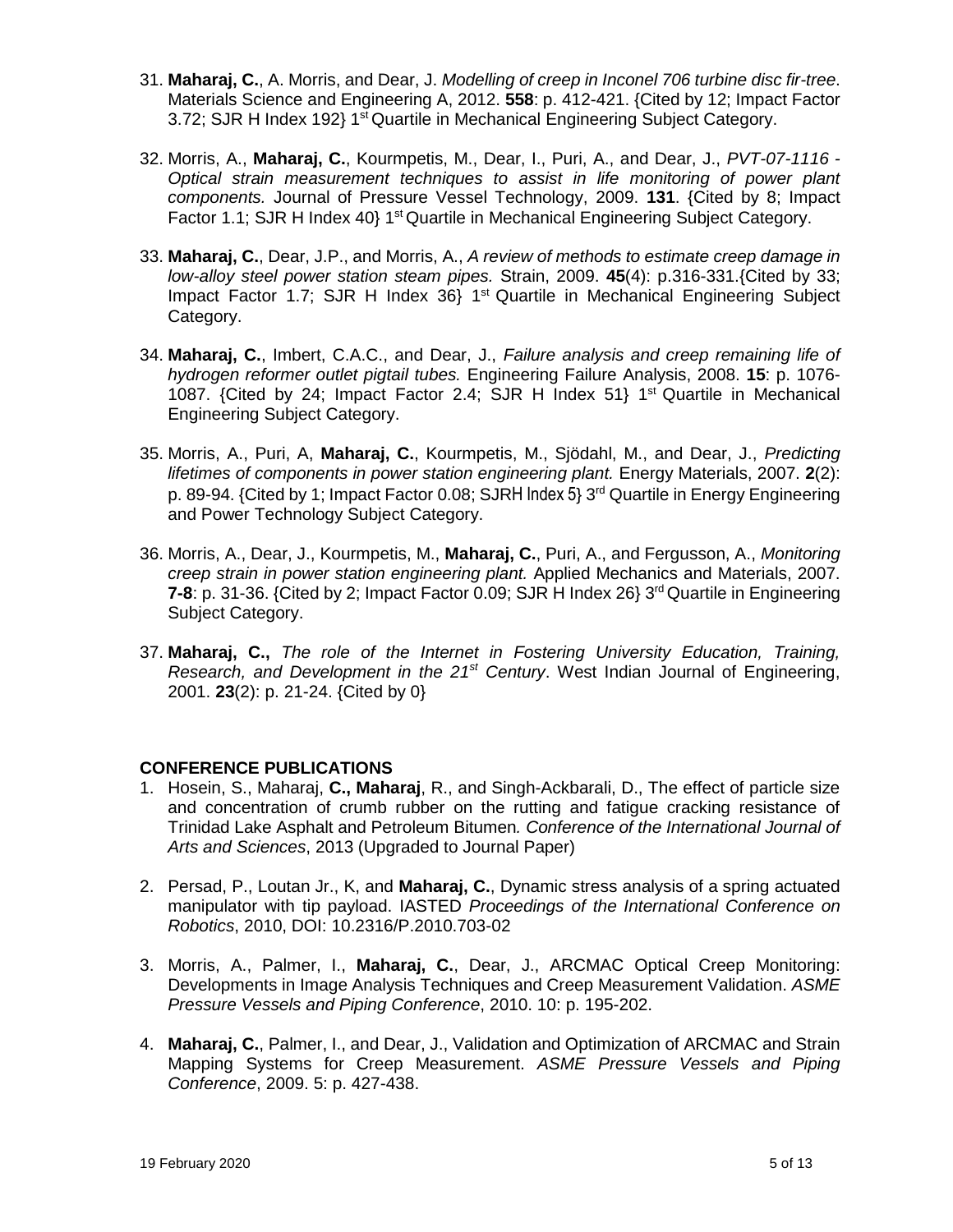- 31. **Maharaj, C.**, A. Morris, and Dear, J. *Modelling of creep in Inconel 706 turbine disc fir-tree*. Materials Science and Engineering A, 2012. **558**: p. 412-421. {Cited by 12; Impact Factor 3.72; SJR H Index 192} 1<sup>st</sup> Quartile in Mechanical Engineering Subject Category.
- 32. Morris, A., **Maharaj, C.**, Kourmpetis, M., Dear, I., Puri, A., and Dear, J., *PVT-07-1116 - Optical strain measurement techniques to assist in life monitoring of power plant components.* Journal of Pressure Vessel Technology, 2009. **131**. {Cited by 8; Impact Factor 1.1; SJR H Index 40} 1<sup>st</sup> Quartile in Mechanical Engineering Subject Category.
- 33. **Maharaj, C.**, Dear, J.P., and Morris, A., *A review of methods to estimate creep damage in low-alloy steel power station steam pipes.* Strain, 2009. **45**(4): p.316-331.{Cited by 33; Impact Factor 1.7; SJR H Index 36} 1st Quartile in Mechanical Engineering Subject Category.
- 34. **Maharaj, C.**, Imbert, C.A.C., and Dear, J., *Failure analysis and creep remaining life of hydrogen reformer outlet pigtail tubes.* Engineering Failure Analysis, 2008. **15**: p. 1076- 1087. {Cited by 24; Impact Factor 2.4; SJR H Index 51} 1 st Quartile in Mechanical Engineering Subject Category.
- 35. Morris, A., Puri, A, **Maharaj, C.**, Kourmpetis, M., Sjödahl, M., and Dear, J., *Predicting lifetimes of components in power station engineering plant.* Energy Materials, 2007. **2**(2): p. 89-94. {Cited by 1; Impact Factor 0.08; SJRH Index 5} 3<sup>rd</sup> Quartile in Energy Engineering and Power Technology Subject Category.
- 36. Morris, A., Dear, J., Kourmpetis, M., **Maharaj, C.**, Puri, A., and Fergusson, A., *Monitoring creep strain in power station engineering plant.* Applied Mechanics and Materials, 2007. **7-8**: p. 31-36. {Cited by 2; Impact Factor 0.09; SJR H Index 26} 3 rd Quartile in Engineering Subject Category.
- 37. **Maharaj, C.,** *The role of the Internet in Fostering University Education, Training, Research, and Development in the 21st Century*. West Indian Journal of Engineering, 2001. **23**(2): p. 21-24. {Cited by 0}

#### **CONFERENCE PUBLICATIONS**

- 1. Hosein, S., Maharaj, **C., Maharaj**, R., and Singh-Ackbarali, D., The effect of particle size and concentration of crumb rubber on the rutting and fatigue cracking resistance of Trinidad Lake Asphalt and Petroleum Bitumen*. Conference of the International Journal of Arts and Sciences*, 2013 (Upgraded to Journal Paper)
- 2. Persad, P., Loutan Jr., K, and **Maharaj, C.**, Dynamic stress analysis of a spring actuated manipulator with tip payload. IASTED *Proceedings of the International Conference on Robotics*, 2010, DOI: 10.2316/P.2010.703-02
- 3. Morris, A., Palmer, I., **Maharaj, C.**, Dear, J., ARCMAC Optical Creep Monitoring: Developments in Image Analysis Techniques and Creep Measurement Validation. *ASME Pressure Vessels and Piping Conference*, 2010. 10: p. 195-202.
- 4. **Maharaj, C.**, Palmer, I., and Dear, J., Validation and Optimization of ARCMAC and Strain Mapping Systems for Creep Measurement. *ASME Pressure Vessels and Piping Conference*, 2009. 5: p. 427-438.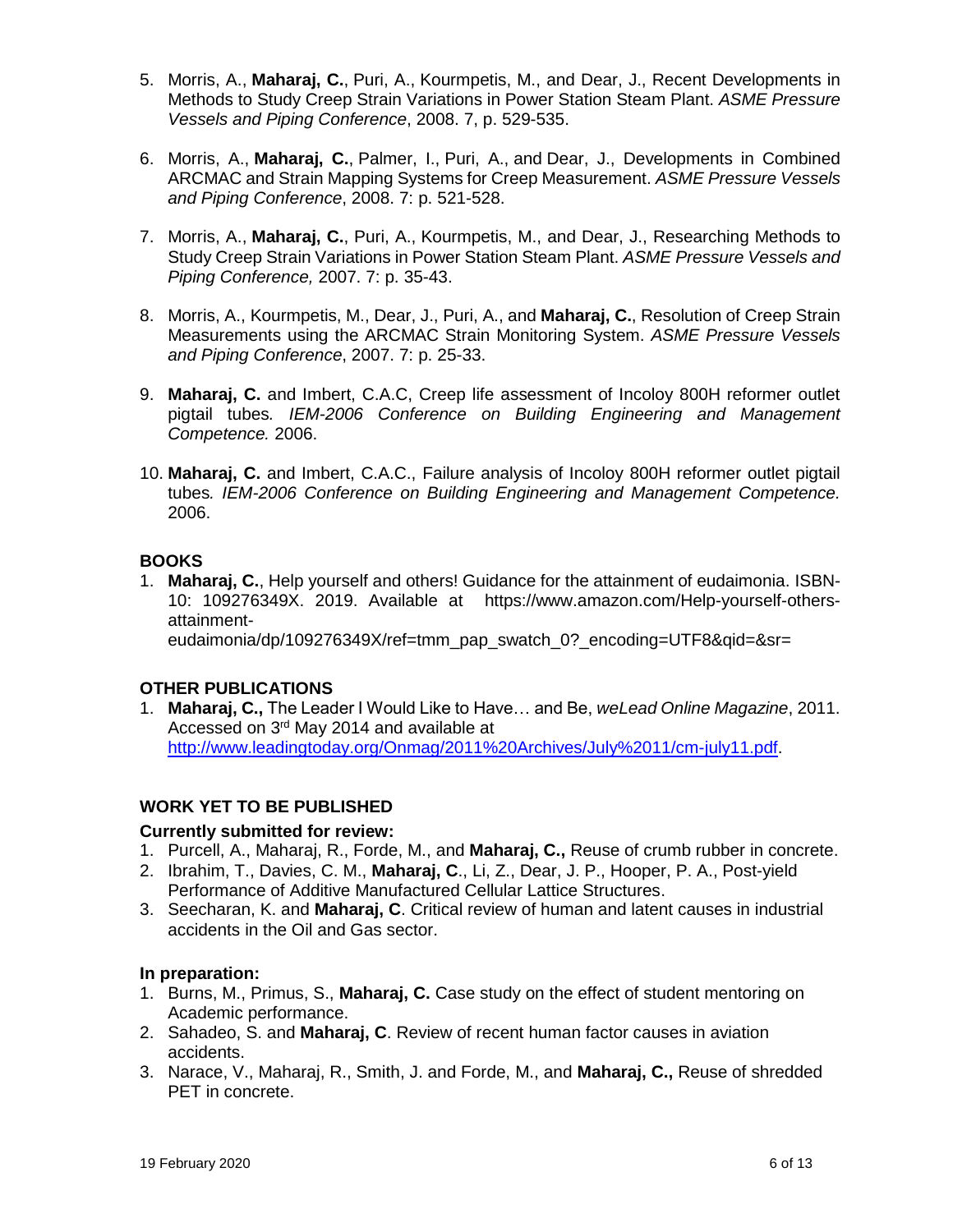- 5. Morris, A., **Maharaj, C.**, Puri, A., Kourmpetis, M., and Dear, J., Recent Developments in Methods to Study Creep Strain Variations in Power Station Steam Plant. *ASME Pressure Vessels and Piping Conference*, 2008. 7, p. 529-535.
- 6. Morris, A., **Maharaj, C.**, Palmer, I., Puri, A., and Dear, J., Developments in Combined ARCMAC and Strain Mapping Systems for Creep Measurement. *ASME Pressure Vessels and Piping Conference*, 2008. 7: p. 521-528.
- 7. Morris, A., **Maharaj, C.**, Puri, A., Kourmpetis, M., and Dear, J., Researching Methods to Study Creep Strain Variations in Power Station Steam Plant. *ASME Pressure Vessels and Piping Conference,* 2007. 7: p. 35-43.
- 8. Morris, A., Kourmpetis, M., Dear, J., Puri, A., and **Maharaj, C.**, Resolution of Creep Strain Measurements using the ARCMAC Strain Monitoring System. *ASME Pressure Vessels and Piping Conference*, 2007. 7: p. 25-33.
- 9. **Maharaj, C.** and Imbert, C.A.C, Creep life assessment of Incoloy 800H reformer outlet pigtail tubes*. IEM-2006 Conference on Building Engineering and Management Competence.* 2006.
- 10. **Maharaj, C.** and Imbert, C.A.C., Failure analysis of Incoloy 800H reformer outlet pigtail tubes*. IEM-2006 Conference on Building Engineering and Management Competence.* 2006.

# **BOOKS**

1. **Maharaj, C.**, Help yourself and others! Guidance for the attainment of eudaimonia. ISBN-10: 109276349X. 2019. Available at https://www.amazon.com/Help-yourself-othersattainment-

eudaimonia/dp/109276349X/ref=tmm\_pap\_swatch\_0?\_encoding=UTF8&qid=&sr=

# **OTHER PUBLICATIONS**

1. **Maharaj, C.,** The Leader I Would Like to Have… and Be, *weLead Online Magazine*, 2011. Accessed on 3rd May 2014 and available at [http://www.leadingtoday.org/Onmag/2011%20Archives/July%2011/cm-july11.pdf.](http://www.leadingtoday.org/Onmag/2011%20Archives/July%2011/cm-july11.pdf)

# **WORK YET TO BE PUBLISHED**

#### **Currently submitted for review:**

- 1. Purcell, A., Maharaj, R., Forde, M., and **Maharaj, C.,** Reuse of crumb rubber in concrete.
- 2. Ibrahim, T., Davies, C. M., **Maharaj, C**., Li, Z., Dear, J. P., Hooper, P. A., Post-yield Performance of Additive Manufactured Cellular Lattice Structures.
- 3. Seecharan, K. and **Maharaj, C**. Critical review of human and latent causes in industrial accidents in the Oil and Gas sector.

#### **In preparation:**

- 1. Burns, M., Primus, S., **Maharaj, C.** Case study on the effect of student mentoring on Academic performance.
- 2. Sahadeo, S. and **Maharaj, C**. Review of recent human factor causes in aviation accidents.
- 3. Narace, V., Maharaj, R., Smith, J. and Forde, M., and **Maharaj, C.,** Reuse of shredded PET in concrete.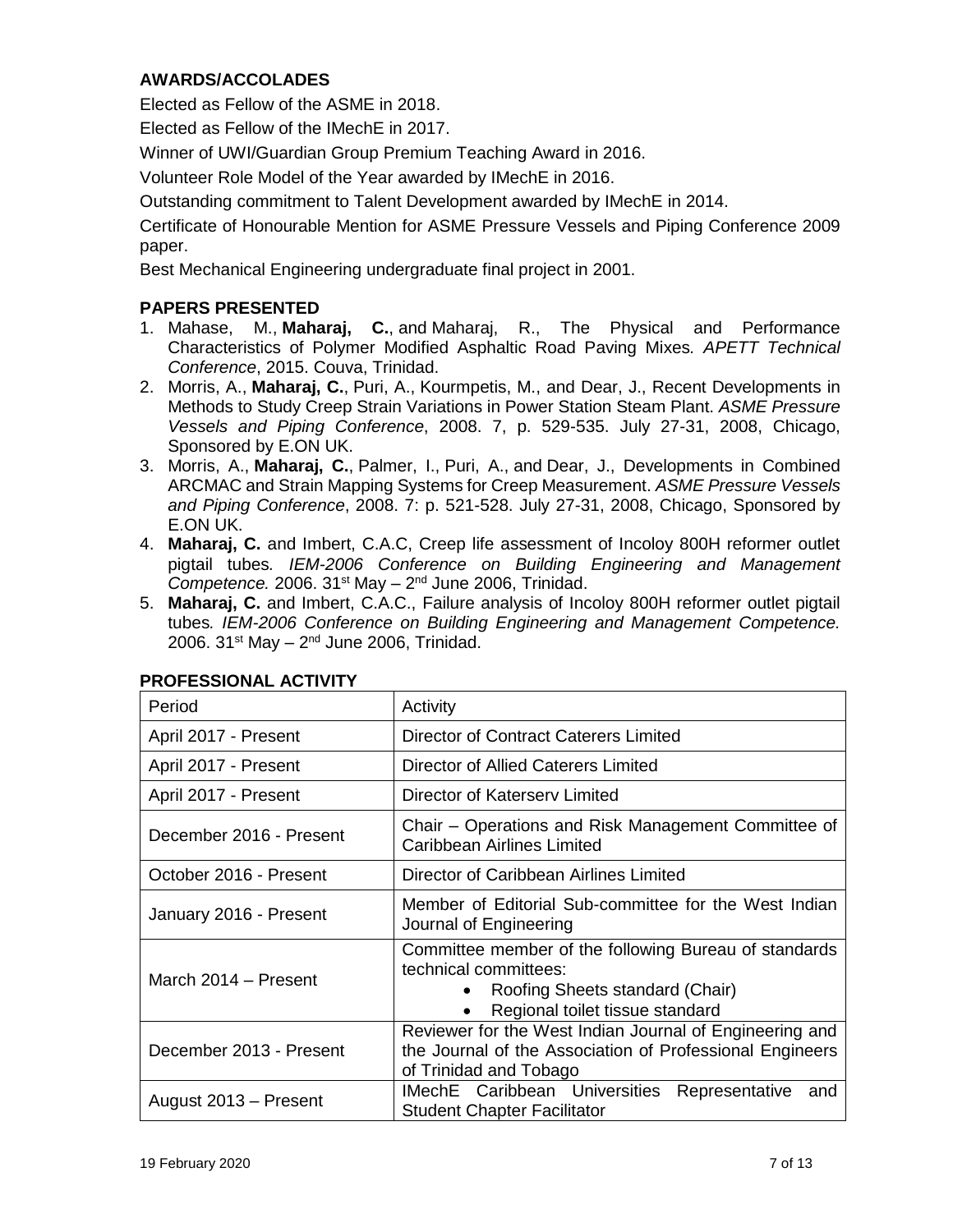#### **AWARDS/ACCOLADES**

Elected as Fellow of the ASME in 2018.

Elected as Fellow of the IMechE in 2017.

Winner of UWI/Guardian Group Premium Teaching Award in 2016.

Volunteer Role Model of the Year awarded by IMechE in 2016.

Outstanding commitment to Talent Development awarded by IMechE in 2014.

Certificate of Honourable Mention for ASME Pressure Vessels and Piping Conference 2009 paper.

Best Mechanical Engineering undergraduate final project in 2001.

#### **PAPERS PRESENTED**

- 1. Mahase, M., **Maharaj, C.**, and Maharaj, R., The Physical and Performance Characteristics of Polymer Modified Asphaltic Road Paving Mixes*. APETT Technical Conference*, 2015. Couva, Trinidad.
- 2. Morris, A., **Maharaj, C.**, Puri, A., Kourmpetis, M., and Dear, J., Recent Developments in Methods to Study Creep Strain Variations in Power Station Steam Plant. *ASME Pressure Vessels and Piping Conference*, 2008. 7, p. 529-535. July 27-31, 2008, Chicago, Sponsored by E.ON UK.
- 3. Morris, A., **Maharaj, C.**, Palmer, I., Puri, A., and Dear, J., Developments in Combined ARCMAC and Strain Mapping Systems for Creep Measurement. *ASME Pressure Vessels and Piping Conference*, 2008. 7: p. 521-528. July 27-31, 2008, Chicago, Sponsored by E.ON UK.
- 4. **Maharaj, C.** and Imbert, C.A.C, Creep life assessment of Incoloy 800H reformer outlet pigtail tubes*. IEM-2006 Conference on Building Engineering and Management*  Competence. 2006. 31<sup>st</sup> May - 2<sup>nd</sup> June 2006, Trinidad.
- 5. **Maharaj, C.** and Imbert, C.A.C., Failure analysis of Incoloy 800H reformer outlet pigtail tubes*. IEM-2006 Conference on Building Engineering and Management Competence.* 2006. 31st May – 2<sup>nd</sup> June 2006, Trinidad.

| Period                  | Activity                                                                                                                                                                       |  |
|-------------------------|--------------------------------------------------------------------------------------------------------------------------------------------------------------------------------|--|
| April 2017 - Present    | <b>Director of Contract Caterers Limited</b>                                                                                                                                   |  |
| April 2017 - Present    | Director of Allied Caterers Limited                                                                                                                                            |  |
| April 2017 - Present    | Director of Katersery Limited                                                                                                                                                  |  |
| December 2016 - Present | Chair - Operations and Risk Management Committee of<br><b>Caribbean Airlines Limited</b>                                                                                       |  |
| October 2016 - Present  | Director of Caribbean Airlines Limited                                                                                                                                         |  |
| January 2016 - Present  | Member of Editorial Sub-committee for the West Indian<br>Journal of Engineering                                                                                                |  |
| March 2014 - Present    | Committee member of the following Bureau of standards<br>technical committees:<br>Roofing Sheets standard (Chair)<br>$\bullet$<br>Regional toilet tissue standard<br>$\bullet$ |  |
| December 2013 - Present | Reviewer for the West Indian Journal of Engineering and<br>the Journal of the Association of Professional Engineers<br>of Trinidad and Tobago                                  |  |
| August 2013 - Present   | <b>IMechE</b> Caribbean Universities<br>Representative<br>and<br><b>Student Chapter Facilitator</b>                                                                            |  |

#### **PROFESSIONAL ACTIVITY**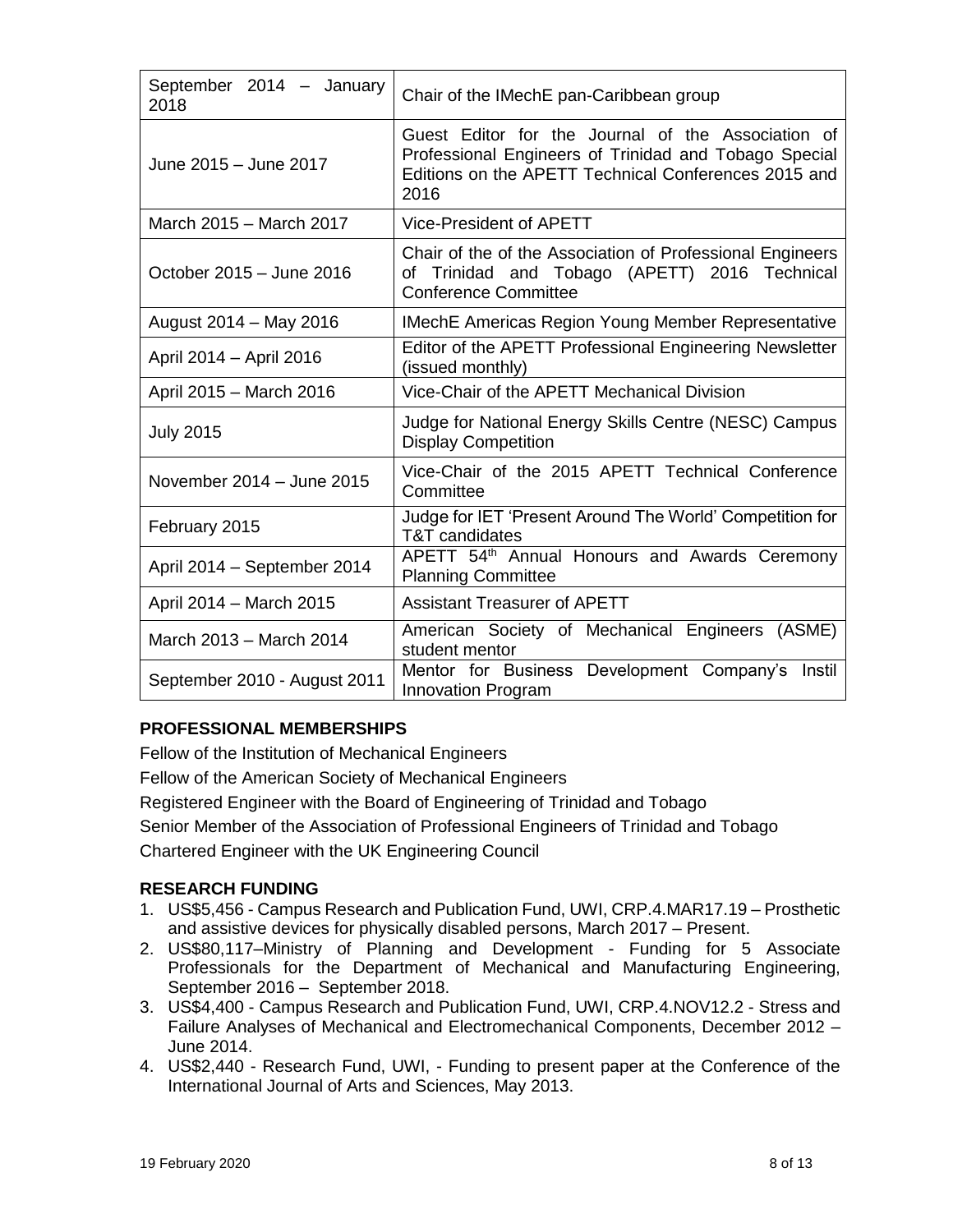| September 2014 - January<br>2018 | Chair of the IMechE pan-Caribbean group                                                                                                                                     |
|----------------------------------|-----------------------------------------------------------------------------------------------------------------------------------------------------------------------------|
| June 2015 - June 2017            | Guest Editor for the Journal of the Association of<br>Professional Engineers of Trinidad and Tobago Special<br>Editions on the APETT Technical Conferences 2015 and<br>2016 |
| March 2015 - March 2017          | Vice-President of APETT                                                                                                                                                     |
| October 2015 - June 2016         | Chair of the of the Association of Professional Engineers<br>of Trinidad and Tobago (APETT) 2016 Technical<br><b>Conference Committee</b>                                   |
| August 2014 - May 2016           | <b>IMechE Americas Region Young Member Representative</b>                                                                                                                   |
| April 2014 - April 2016          | Editor of the APETT Professional Engineering Newsletter<br>(issued monthly)                                                                                                 |
| April 2015 - March 2016          | Vice-Chair of the APETT Mechanical Division                                                                                                                                 |
| <b>July 2015</b>                 | Judge for National Energy Skills Centre (NESC) Campus<br><b>Display Competition</b>                                                                                         |
| November 2014 - June 2015        | Vice-Chair of the 2015 APETT Technical Conference<br>Committee                                                                                                              |
| February 2015                    | Judge for IET 'Present Around The World' Competition for<br>T&T candidates                                                                                                  |
| April 2014 - September 2014      | APETT 54th Annual Honours and Awards Ceremony<br><b>Planning Committee</b>                                                                                                  |
| April 2014 - March 2015          | <b>Assistant Treasurer of APETT</b>                                                                                                                                         |
| March 2013 - March 2014          | American Society of Mechanical Engineers (ASME)<br>student mentor                                                                                                           |
| September 2010 - August 2011     | Mentor for Business Development Company's Instil<br><b>Innovation Program</b>                                                                                               |

# **PROFESSIONAL MEMBERSHIPS**

Fellow of the Institution of Mechanical Engineers Fellow of the American Society of Mechanical Engineers Registered Engineer with the Board of Engineering of Trinidad and Tobago Senior Member of the Association of Professional Engineers of Trinidad and Tobago Chartered Engineer with the UK Engineering Council

# **RESEARCH FUNDING**

- 1. US\$5,456 Campus Research and Publication Fund, UWI, CRP.4.MAR17.19 Prosthetic and assistive devices for physically disabled persons, March 2017 – Present.
- 2. US\$80,117–Ministry of Planning and Development Funding for 5 Associate Professionals for the Department of Mechanical and Manufacturing Engineering, September 2016 – September 2018.
- 3. US\$4,400 Campus Research and Publication Fund, UWI, CRP.4.NOV12.2 Stress and Failure Analyses of Mechanical and Electromechanical Components, December 2012 – June 2014.
- 4. US\$2,440 Research Fund, UWI, Funding to present paper at the Conference of the International Journal of Arts and Sciences, May 2013.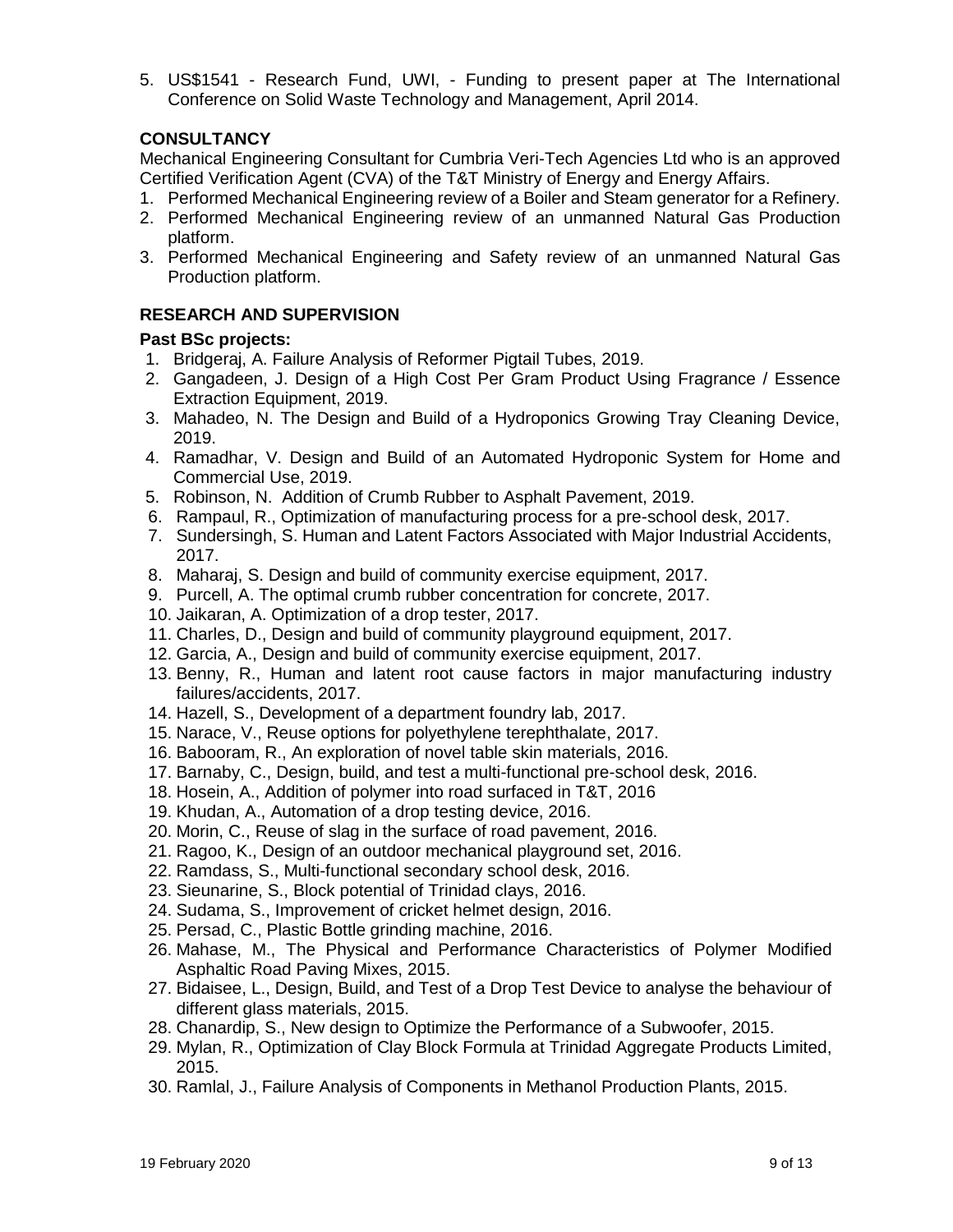5. US\$1541 - Research Fund, UWI, - Funding to present paper at The International Conference on Solid Waste Technology and Management, April 2014.

#### **CONSULTANCY**

Mechanical Engineering Consultant for Cumbria Veri-Tech Agencies Ltd who is an approved Certified Verification Agent (CVA) of the T&T Ministry of Energy and Energy Affairs.

- 1. Performed Mechanical Engineering review of a Boiler and Steam generator for a Refinery.
- 2. Performed Mechanical Engineering review of an unmanned Natural Gas Production platform.
- 3. Performed Mechanical Engineering and Safety review of an unmanned Natural Gas Production platform.

#### **RESEARCH AND SUPERVISION**

#### **Past BSc projects:**

- 1. Bridgeraj, A. Failure Analysis of Reformer Pigtail Tubes, 2019.
- 2. Gangadeen, J. Design of a High Cost Per Gram Product Using Fragrance / Essence Extraction Equipment, 2019.
- 3. Mahadeo, N. The Design and Build of a Hydroponics Growing Tray Cleaning Device, 2019.
- 4. Ramadhar, V. Design and Build of an Automated Hydroponic System for Home and Commercial Use, 2019.
- 5. Robinson, N. Addition of Crumb Rubber to Asphalt Pavement, 2019.
- 6. Rampaul, R., Optimization of manufacturing process for a pre-school desk, 2017.
- 7. Sundersingh, S. Human and Latent Factors Associated with Major Industrial Accidents, 2017.
- 8. Maharaj, S. Design and build of community exercise equipment, 2017.
- 9. Purcell, A. The optimal crumb rubber concentration for concrete, 2017.
- 10. Jaikaran, A. Optimization of a drop tester, 2017.
- 11. Charles, D., Design and build of community playground equipment, 2017.
- 12. Garcia, A., Design and build of community exercise equipment, 2017.
- 13. Benny, R., Human and latent root cause factors in major manufacturing industry failures/accidents, 2017.
- 14. Hazell, S., Development of a department foundry lab, 2017.
- 15. Narace, V., Reuse options for polyethylene terephthalate, 2017.
- 16. Babooram, R., An exploration of novel table skin materials, 2016.
- 17. Barnaby, C., Design, build, and test a multi-functional pre-school desk, 2016.
- 18. Hosein, A., Addition of polymer into road surfaced in T&T, 2016
- 19. Khudan, A., Automation of a drop testing device, 2016.
- 20. Morin, C., Reuse of slag in the surface of road pavement, 2016.
- 21. Ragoo, K., Design of an outdoor mechanical playground set, 2016.
- 22. Ramdass, S., Multi-functional secondary school desk, 2016.
- 23. Sieunarine, S., Block potential of Trinidad clays, 2016.
- 24. Sudama, S., Improvement of cricket helmet design, 2016.
- 25. Persad, C., Plastic Bottle grinding machine, 2016.
- 26. Mahase, M., The Physical and Performance Characteristics of Polymer Modified Asphaltic Road Paving Mixes, 2015.
- 27. Bidaisee, L., Design, Build, and Test of a Drop Test Device to analyse the behaviour of different glass materials, 2015.
- 28. Chanardip, S., New design to Optimize the Performance of a Subwoofer, 2015.
- 29. Mylan, R., Optimization of Clay Block Formula at Trinidad Aggregate Products Limited, 2015.
- 30. Ramlal, J., Failure Analysis of Components in Methanol Production Plants, 2015.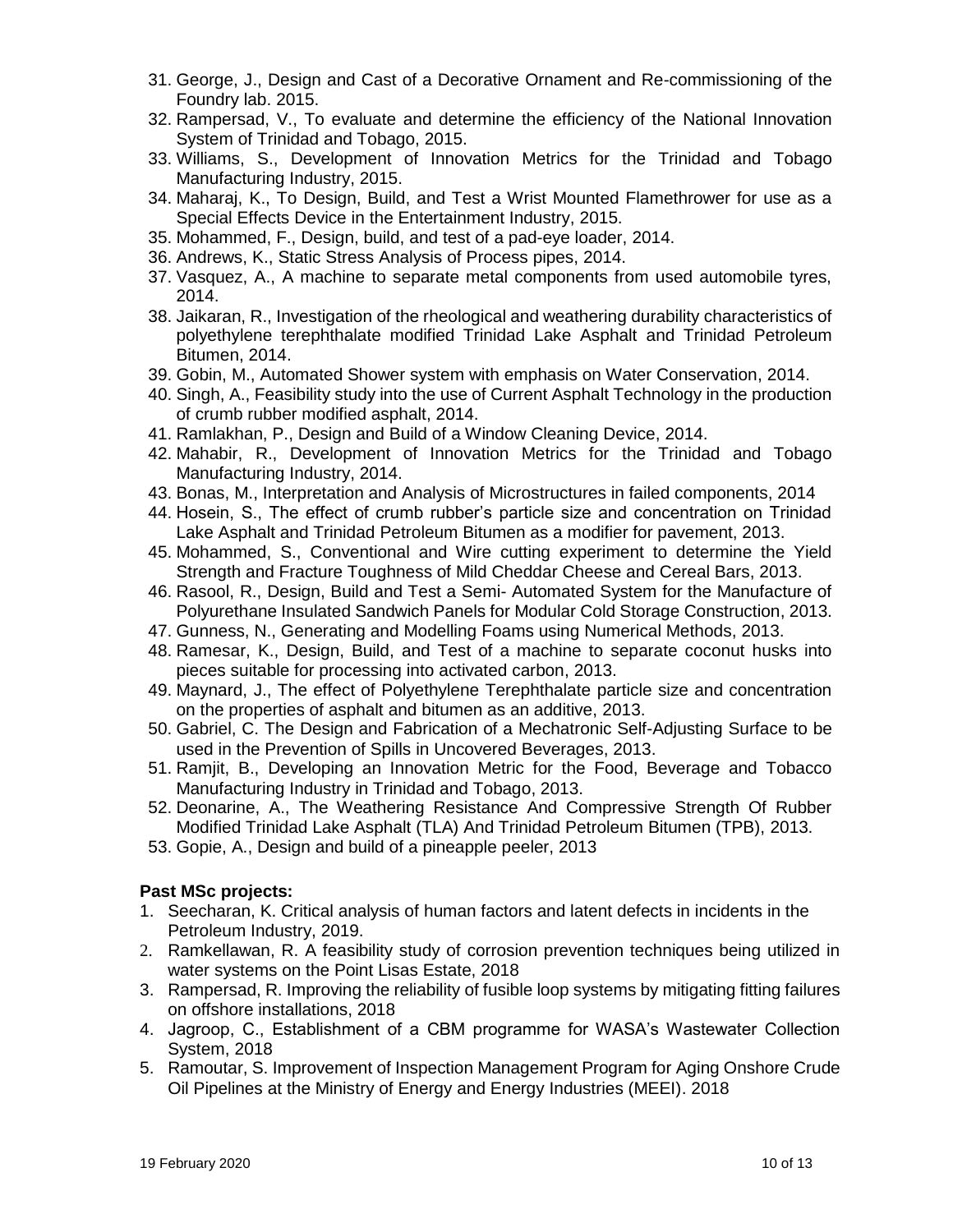- 31. George, J., Design and Cast of a Decorative Ornament and Re-commissioning of the Foundry lab. 2015.
- 32. Rampersad, V., To evaluate and determine the efficiency of the National Innovation System of Trinidad and Tobago, 2015.
- 33. Williams, S., Development of Innovation Metrics for the Trinidad and Tobago Manufacturing Industry, 2015.
- 34. Maharaj, K., To Design, Build, and Test a Wrist Mounted Flamethrower for use as a Special Effects Device in the Entertainment Industry, 2015.
- 35. Mohammed, F., Design, build, and test of a pad-eye loader, 2014.
- 36. Andrews, K., Static Stress Analysis of Process pipes, 2014.
- 37. Vasquez, A., A machine to separate metal components from used automobile tyres, 2014.
- 38. Jaikaran, R., Investigation of the rheological and weathering durability characteristics of polyethylene terephthalate modified Trinidad Lake Asphalt and Trinidad Petroleum Bitumen, 2014.
- 39. Gobin, M., Automated Shower system with emphasis on Water Conservation, 2014.
- 40. Singh, A., Feasibility study into the use of Current Asphalt Technology in the production of crumb rubber modified asphalt, 2014.
- 41. Ramlakhan, P., Design and Build of a Window Cleaning Device, 2014.
- 42. Mahabir, R., Development of Innovation Metrics for the Trinidad and Tobago Manufacturing Industry, 2014.
- 43. Bonas, M., Interpretation and Analysis of Microstructures in failed components, 2014
- 44. Hosein, S., The effect of crumb rubber's particle size and concentration on Trinidad Lake Asphalt and Trinidad Petroleum Bitumen as a modifier for pavement, 2013.
- 45. Mohammed, S., Conventional and Wire cutting experiment to determine the Yield Strength and Fracture Toughness of Mild Cheddar Cheese and Cereal Bars, 2013.
- 46. Rasool, R., Design, Build and Test a Semi- Automated System for the Manufacture of Polyurethane Insulated Sandwich Panels for Modular Cold Storage Construction, 2013.
- 47. Gunness, N., Generating and Modelling Foams using Numerical Methods, 2013.
- 48. Ramesar, K., Design, Build, and Test of a machine to separate coconut husks into pieces suitable for processing into activated carbon, 2013.
- 49. Maynard, J., The effect of Polyethylene Terephthalate particle size and concentration on the properties of asphalt and bitumen as an additive, 2013.
- 50. Gabriel, C. The Design and Fabrication of a Mechatronic Self-Adjusting Surface to be used in the Prevention of Spills in Uncovered Beverages, 2013.
- 51. Ramjit, B., Developing an Innovation Metric for the Food, Beverage and Tobacco Manufacturing Industry in Trinidad and Tobago, 2013.
- 52. Deonarine, A., The Weathering Resistance And Compressive Strength Of Rubber Modified Trinidad Lake Asphalt (TLA) And Trinidad Petroleum Bitumen (TPB), 2013.
- 53. Gopie, A., Design and build of a pineapple peeler, 2013

#### **Past MSc projects:**

- 1. Seecharan, K. Critical analysis of human factors and latent defects in incidents in the Petroleum Industry, 2019.
- 2. Ramkellawan, R. A feasibility study of corrosion prevention techniques being utilized in water systems on the Point Lisas Estate, 2018
- 3. Rampersad, R. Improving the reliability of fusible loop systems by mitigating fitting failures on offshore installations, 2018
- 4. Jagroop, C., Establishment of a CBM programme for WASA's Wastewater Collection System, 2018
- 5. Ramoutar, S. Improvement of Inspection Management Program for Aging Onshore Crude Oil Pipelines at the Ministry of Energy and Energy Industries (MEEI). 2018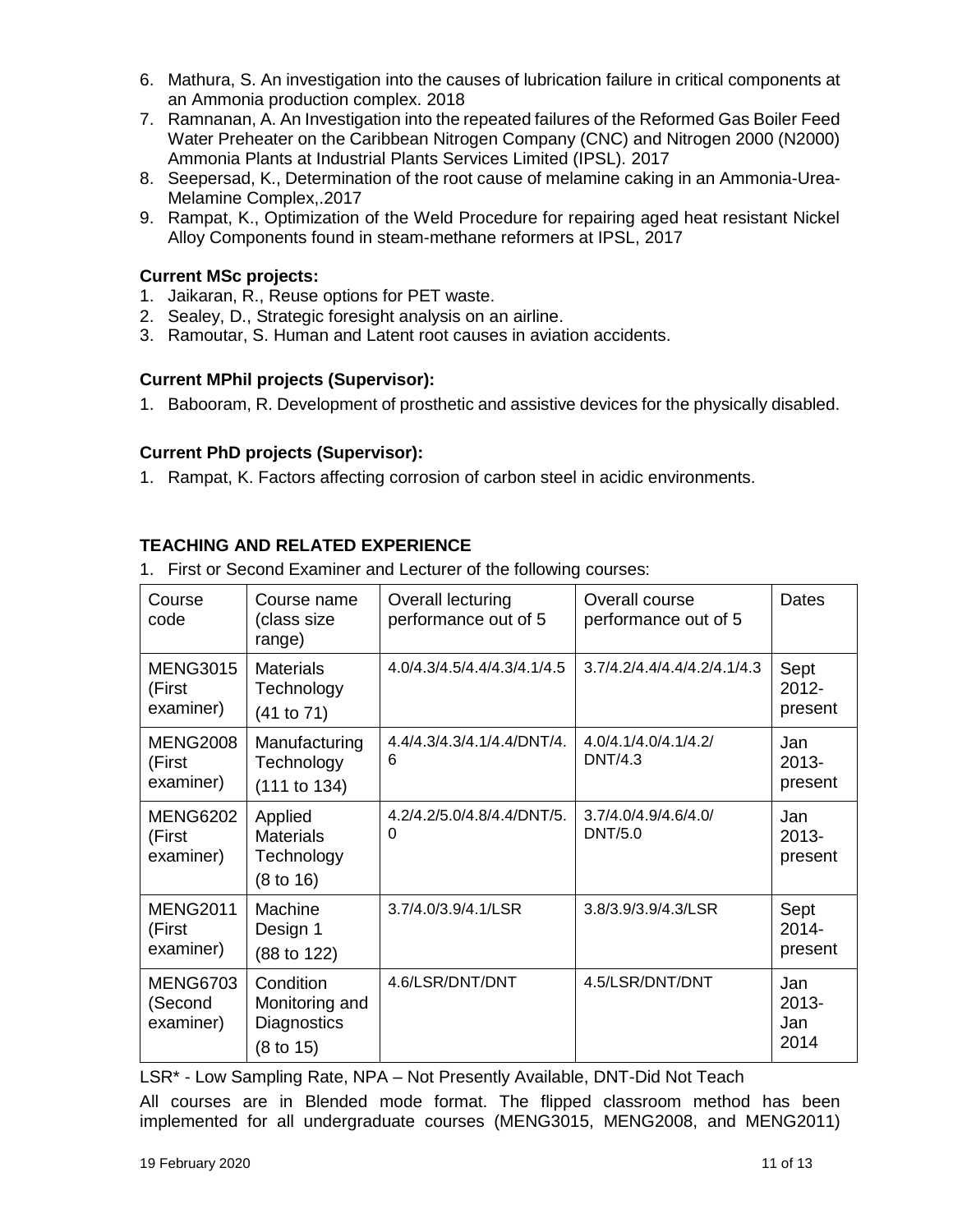- 6. Mathura, S. An investigation into the causes of lubrication failure in critical components at an Ammonia production complex. 2018
- 7. Ramnanan, A. An Investigation into the repeated failures of the Reformed Gas Boiler Feed Water Preheater on the Caribbean Nitrogen Company (CNC) and Nitrogen 2000 (N2000) Ammonia Plants at Industrial Plants Services Limited (IPSL). 2017
- 8. Seepersad, K., Determination of the root cause of melamine caking in an Ammonia-Urea-Melamine Complex,.2017
- 9. Rampat, K., Optimization of the Weld Procedure for repairing aged heat resistant Nickel Alloy Components found in steam-methane reformers at IPSL, 2017

# **Current MSc projects:**

- 1. Jaikaran, R., Reuse options for PET waste.
- 2. Sealey, D., Strategic foresight analysis on an airline.
- 3. Ramoutar, S. Human and Latent root causes in aviation accidents.

# **Current MPhil projects (Supervisor):**

1. Babooram, R. Development of prosthetic and assistive devices for the physically disabled.

#### **Current PhD projects (Supervisor):**

1. Rampat, K. Factors affecting corrosion of carbon steel in acidic environments.

# **TEACHING AND RELATED EXPERIENCE**

|  | 1. First or Second Examiner and Lecturer of the following courses: |  |  |  |  |
|--|--------------------------------------------------------------------|--|--|--|--|
|--|--------------------------------------------------------------------|--|--|--|--|

| Course<br>code                          | Course name<br>(class size<br>range)                               | Overall lecturing<br>performance out of 5 | Overall course<br>performance out of 5 | <b>Dates</b>                   |
|-----------------------------------------|--------------------------------------------------------------------|-------------------------------------------|----------------------------------------|--------------------------------|
| <b>MENG3015</b><br>(First<br>examiner)  | <b>Materials</b><br>Technology<br>(41 to 71)                       | 4.0/4.3/4.5/4.4/4.3/4.1/4.5               | 3.7/4.2/4.4/4.4/4.2/4.1/4.3            | Sept<br>$2012 -$<br>present    |
| <b>MENG2008</b><br>(First<br>examiner)  | Manufacturing<br>Technology<br>(111 to 134)                        | 4.4/4.3/4.3/4.1/4.4/DNT/4.<br>6           | 4.0/4.1/4.0/4.1/4.2/<br>DNT/4.3        | Jan<br>$2013 -$<br>present     |
| <b>MENG6202</b><br>(First<br>examiner)  | Applied<br><b>Materials</b><br>Technology<br>$(8 \text{ to } 16)$  | 4.2/4.2/5.0/4.8/4.4/DNT/5.<br>0           | 3.7/4.0/4.9/4.6/4.0/<br>DNT/5.0        | Jan<br>2013-<br>present        |
| <b>MENG2011</b><br>(First<br>examiner)  | Machine<br>Design 1<br>(88 to 122)                                 | 3.7/4.0/3.9/4.1/LSR                       | 3.8/3.9/3.9/4.3/LSR                    | Sept<br>$2014 -$<br>present    |
| <b>MENG6703</b><br>(Second<br>examiner) | Condition<br>Monitoring and<br>Diagnostics<br>$(8 \text{ to } 15)$ | 4.6/LSR/DNT/DNT                           | 4.5/LSR/DNT/DNT                        | Jan<br>$2013 -$<br>Jan<br>2014 |

LSR\* - Low Sampling Rate, NPA – Not Presently Available, DNT-Did Not Teach

All courses are in Blended mode format. The flipped classroom method has been implemented for all undergraduate courses (MENG3015, MENG2008, and MENG2011)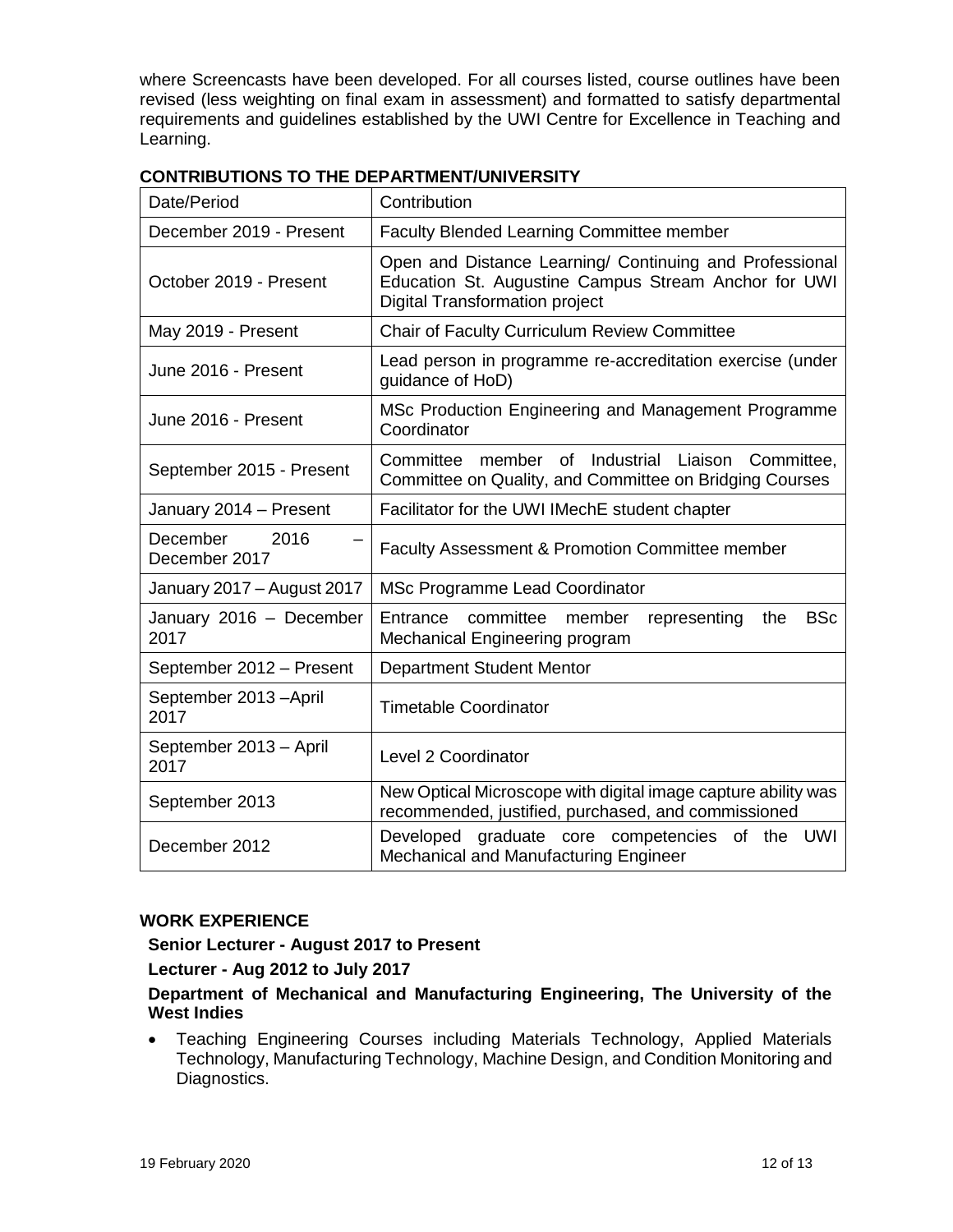where Screencasts have been developed. For all courses listed, course outlines have been revised (less weighting on final exam in assessment) and formatted to satisfy departmental requirements and guidelines established by the UWI Centre for Excellence in Teaching and Learning.

| Date/Period                       | Contribution                                                                                                                                             |
|-----------------------------------|----------------------------------------------------------------------------------------------------------------------------------------------------------|
| December 2019 - Present           | <b>Faculty Blended Learning Committee member</b>                                                                                                         |
| October 2019 - Present            | Open and Distance Learning/ Continuing and Professional<br>Education St. Augustine Campus Stream Anchor for UWI<br><b>Digital Transformation project</b> |
| May 2019 - Present                | Chair of Faculty Curriculum Review Committee                                                                                                             |
| June 2016 - Present               | Lead person in programme re-accreditation exercise (under<br>guidance of HoD)                                                                            |
| June 2016 - Present               | MSc Production Engineering and Management Programme<br>Coordinator                                                                                       |
| September 2015 - Present          | member of Industrial Liaison Committee,<br>Committee<br>Committee on Quality, and Committee on Bridging Courses                                          |
| January 2014 - Present            | Facilitator for the UWI IMechE student chapter                                                                                                           |
| December<br>2016<br>December 2017 | <b>Faculty Assessment &amp; Promotion Committee member</b>                                                                                               |
| January 2017 - August 2017        | MSc Programme Lead Coordinator                                                                                                                           |
| January 2016 - December<br>2017   | Entrance<br><b>BSc</b><br>committee<br>member<br>representing<br>the<br>Mechanical Engineering program                                                   |
| September 2012 - Present          | <b>Department Student Mentor</b>                                                                                                                         |
| September 2013 - April<br>2017    | <b>Timetable Coordinator</b>                                                                                                                             |
| September 2013 - April<br>2017    | <b>Level 2 Coordinator</b>                                                                                                                               |
| September 2013                    | New Optical Microscope with digital image capture ability was<br>recommended, justified, purchased, and commissioned                                     |
| December 2012                     | Developed graduate core competencies of the<br>UWI<br><b>Mechanical and Manufacturing Engineer</b>                                                       |

#### **CONTRIBUTIONS TO THE DEPARTMENT/UNIVERSITY**

#### **WORK EXPERIENCE**

#### **Senior Lecturer - August 2017 to Present**

#### **Lecturer - Aug 2012 to July 2017**

#### **Department of Mechanical and Manufacturing Engineering, The University of the West Indies**

 Teaching Engineering Courses including Materials Technology, Applied Materials Technology, Manufacturing Technology, Machine Design, and Condition Monitoring and Diagnostics.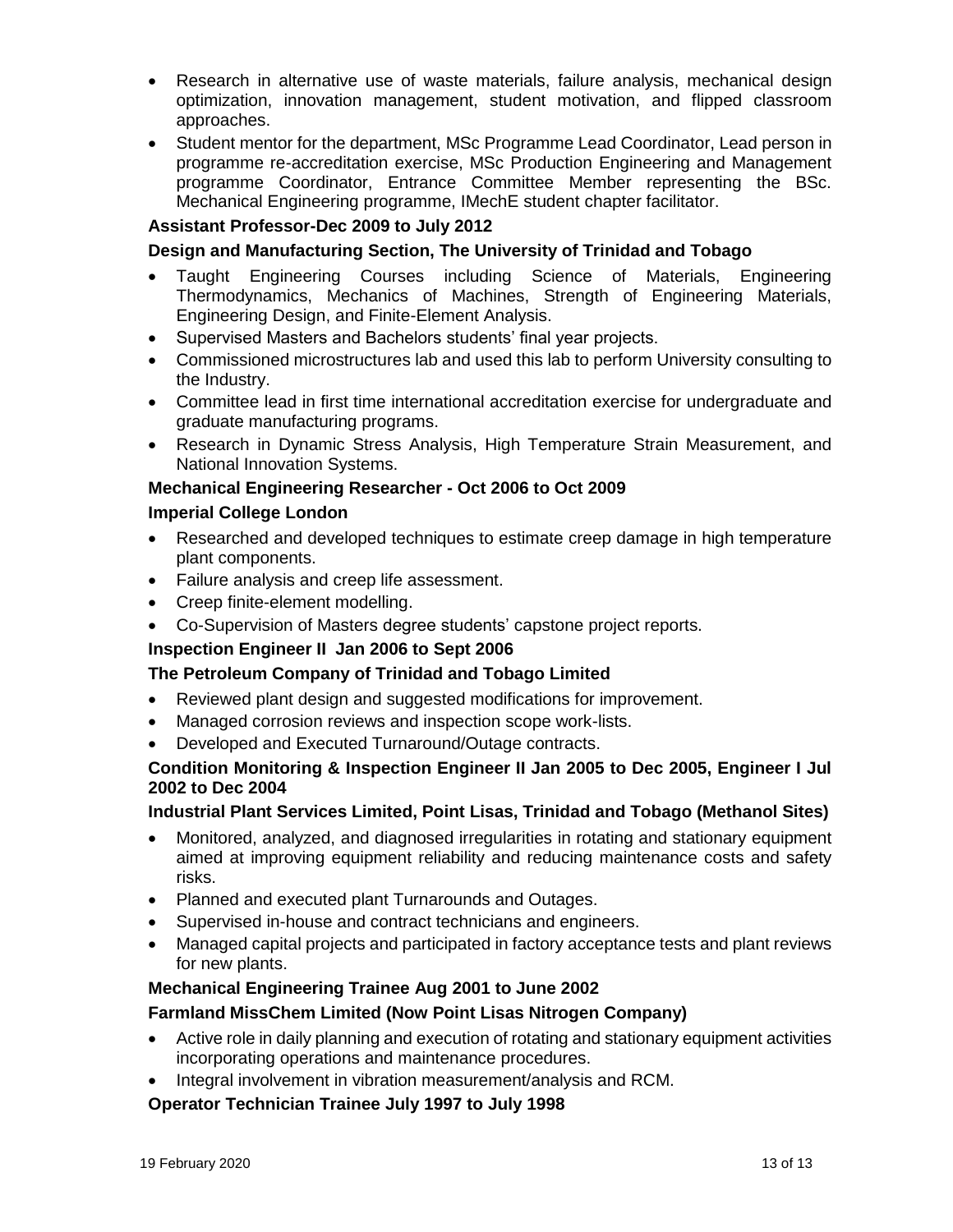- Research in alternative use of waste materials, failure analysis, mechanical design optimization, innovation management, student motivation, and flipped classroom approaches.
- Student mentor for the department, MSc Programme Lead Coordinator, Lead person in programme re-accreditation exercise, MSc Production Engineering and Management programme Coordinator, Entrance Committee Member representing the BSc. Mechanical Engineering programme, IMechE student chapter facilitator.

# **Assistant Professor-Dec 2009 to July 2012**

#### **Design and Manufacturing Section, The University of Trinidad and Tobago**

- Taught Engineering Courses including Science of Materials, Engineering Thermodynamics, Mechanics of Machines, Strength of Engineering Materials, Engineering Design, and Finite-Element Analysis.
- Supervised Masters and Bachelors students' final year projects.
- Commissioned microstructures lab and used this lab to perform University consulting to the Industry.
- Committee lead in first time international accreditation exercise for undergraduate and graduate manufacturing programs.
- Research in Dynamic Stress Analysis, High Temperature Strain Measurement, and National Innovation Systems.

# **Mechanical Engineering Researcher - Oct 2006 to Oct 2009**

#### **Imperial College London**

- Researched and developed techniques to estimate creep damage in high temperature plant components.
- Failure analysis and creep life assessment.
- Creep finite-element modelling.
- Co-Supervision of Masters degree students' capstone project reports.

#### **Inspection Engineer II Jan 2006 to Sept 2006**

#### **The Petroleum Company of Trinidad and Tobago Limited**

- Reviewed plant design and suggested modifications for improvement.
- Managed corrosion reviews and inspection scope work-lists.
- Developed and Executed Turnaround/Outage contracts.

# **Condition Monitoring & Inspection Engineer II Jan 2005 to Dec 2005, Engineer I Jul 2002 to Dec 2004**

# **Industrial Plant Services Limited, Point Lisas, Trinidad and Tobago (Methanol Sites)**

- Monitored, analyzed, and diagnosed irregularities in rotating and stationary equipment aimed at improving equipment reliability and reducing maintenance costs and safety risks.
- Planned and executed plant Turnarounds and Outages.
- Supervised in-house and contract technicians and engineers.
- Managed capital projects and participated in factory acceptance tests and plant reviews for new plants.

# **Mechanical Engineering Trainee Aug 2001 to June 2002**

#### **Farmland MissChem Limited (Now Point Lisas Nitrogen Company)**

- Active role in daily planning and execution of rotating and stationary equipment activities incorporating operations and maintenance procedures.
- Integral involvement in vibration measurement/analysis and RCM.

#### **Operator Technician Trainee July 1997 to July 1998**